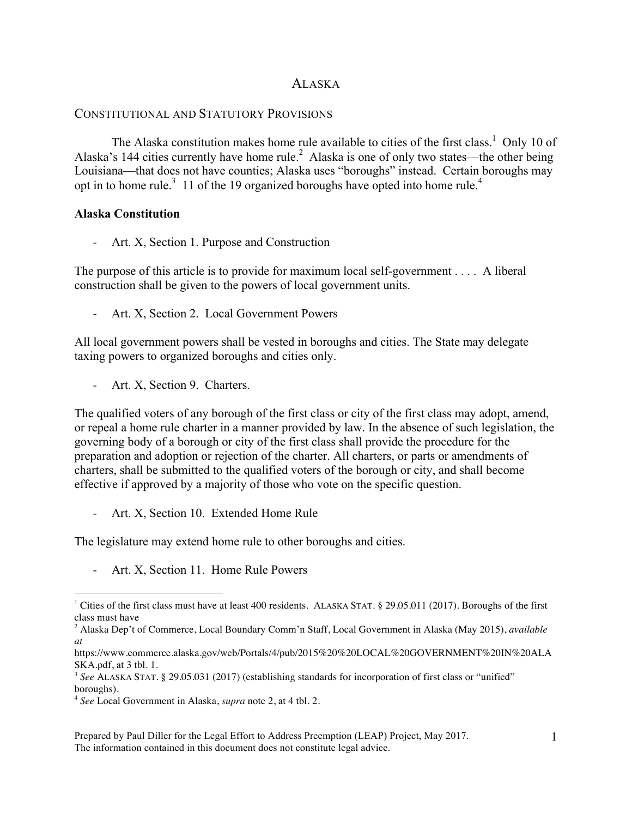# ALASKA

# CONSTITUTIONAL AND STATUTORY PROVISIONS

The Alaska constitution makes home rule available to cities of the first class.<sup>1</sup> Only 10 of Alaska's 144 cities currently have home rule.<sup>2</sup> Alaska is one of only two states—the other being Louisiana—that does not have counties; Alaska uses "boroughs" instead. Certain boroughs may opt in to home rule.<sup>3</sup> 11 of the 19 organized boroughs have opted into home rule.<sup>4</sup>

### **Alaska Constitution**

- Art. X, Section 1. Purpose and Construction

The purpose of this article is to provide for maximum local self-government . . . . A liberal construction shall be given to the powers of local government units.

Art. X, Section 2. Local Government Powers

All local government powers shall be vested in boroughs and cities. The State may delegate taxing powers to organized boroughs and cities only.

Art. X, Section 9. Charters.

The qualified voters of any borough of the first class or city of the first class may adopt, amend, or repeal a home rule charter in a manner provided by law. In the absence of such legislation, the governing body of a borough or city of the first class shall provide the procedure for the preparation and adoption or rejection of the charter. All charters, or parts or amendments of charters, shall be submitted to the qualified voters of the borough or city, and shall become effective if approved by a majority of those who vote on the specific question.

- Art. X, Section 10. Extended Home Rule

The legislature may extend home rule to other boroughs and cities.

- Art. X, Section 11. Home Rule Powers

 $\frac{1}{1}$ <sup>1</sup> Cities of the first class must have at least 400 residents. ALASKA STAT. § 29.05.011 (2017). Boroughs of the first class must have

<sup>2</sup> Alaska Dep't of Commerce, Local Boundary Comm'n Staff, Local Government in Alaska (May 2015), *available at*

https://www.commerce.alaska.gov/web/Portals/4/pub/2015%20%20LOCAL%20GOVERNMENT%20IN%20ALA SKA.pdf, at 3 tbl. 1.

<sup>3</sup> *See* ALASKA STAT. § 29.05.031 (2017) (establishing standards for incorporation of first class or "unified" boroughs).

<sup>4</sup> *See* Local Government in Alaska, *supra* note 2, at 4 tbl. 2.